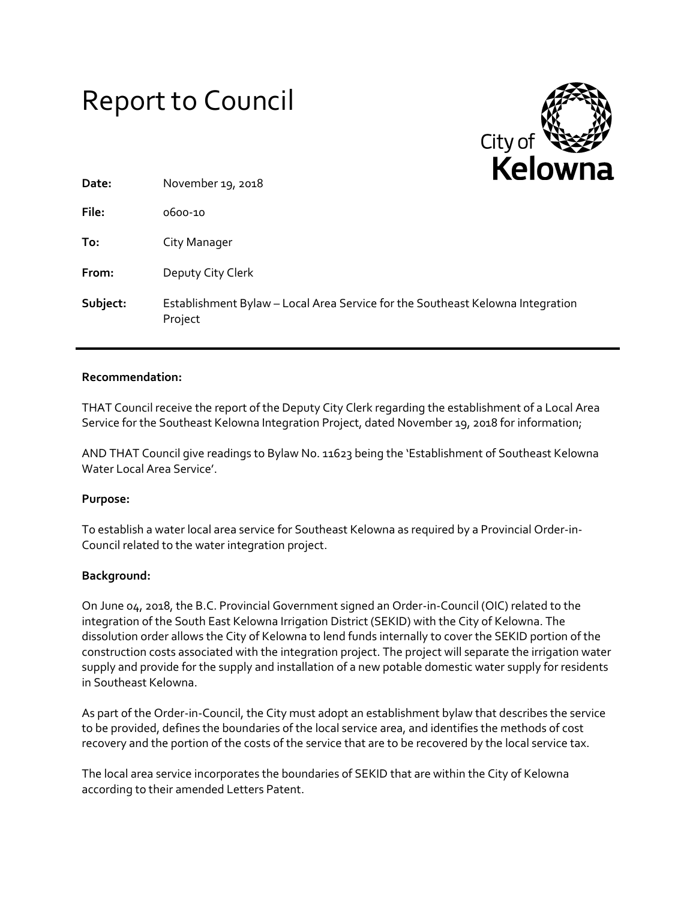# Report to Council



| November 19, 2018                                                                         |
|-------------------------------------------------------------------------------------------|
| 0600-10                                                                                   |
| City Manager                                                                              |
| Deputy City Clerk                                                                         |
| Establishment Bylaw - Local Area Service for the Southeast Kelowna Integration<br>Project |
|                                                                                           |

# **Recommendation:**

THAT Council receive the report of the Deputy City Clerk regarding the establishment of a Local Area Service for the Southeast Kelowna Integration Project, dated November 19, 2018 for information;

AND THAT Council give readings to Bylaw No. 11623 being the 'Establishment of Southeast Kelowna Water Local Area Service'.

#### **Purpose:**

To establish a water local area service for Southeast Kelowna as required by a Provincial Order-in-Council related to the water integration project.

#### **Background:**

On June 04, 2018, the B.C. Provincial Government signed an Order-in-Council (OIC) related to the integration of the South East Kelowna Irrigation District (SEKID) with the City of Kelowna. The dissolution order allows the City of Kelowna to lend funds internally to cover the SEKID portion of the construction costs associated with the integration project. The project will separate the irrigation water supply and provide for the supply and installation of a new potable domestic water supply for residents in Southeast Kelowna.

As part of the Order-in-Council, the City must adopt an establishment bylaw that describes the service to be provided, defines the boundaries of the local service area, and identifies the methods of cost recovery and the portion of the costs of the service that are to be recovered by the local service tax.

The local area service incorporates the boundaries of SEKID that are within the City of Kelowna according to their amended Letters Patent.